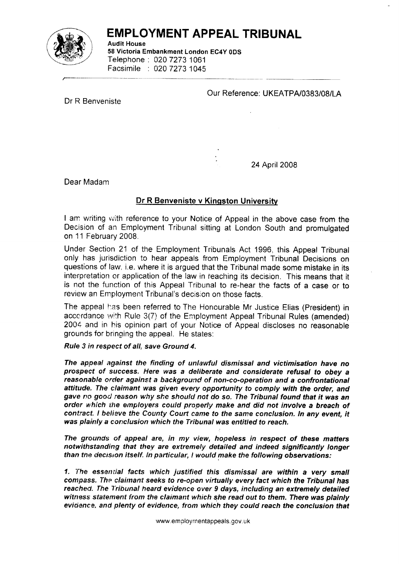

## EMPLOYMENT APPEAL TRIBUNAL

Audit House 58 Victoria Embankment London EC4Y 0DS Telephone : 020 7273 1061 Facsimile : 020 72731045

Our Reference: UKEATPA/0383/08/LA

Dr R Benveniste

24 April 2008

Dear Madam

## Dr R Benveniste v Kinqston Universifu

I am writing with reference to your Notice of Appeal in the above case from the Decision of an Employment Tribunal sitting at London South and promulgated on 11 February 2008.

Under Section 21 of the Employment Tribunals Act 1996, this Appeal Tribunal only has jurisdiction to hear appeals from Employment Tribunal Decisions on questions of law. i,e. where it is argued that the Tribunal made some mistake in its interpretation or application of the law in reaching its decision. This means that it is not the function of this Appeal Tribunal to re-hear the facts of a case or to review an Employment Tribunal's decislon on those facts.

The appeal has been referred to The Honourable Mr Justice Elias (President) in accordance with Rule 3(7) of the Employment Appeal Tribunal Rules (amended) 2004 and in his opinion part of your Notice of Appeal discloses no reasonable grounds for bringing the appeal. He states:

## Rule 3 in respect of all, save Ground 4.

The appeal against the finding of unlawful dismissal and victimisation have no prospect of success. Here was a deliberate and considerate refusal to obey a reasonable order against a background of non-co-operation and a confrontational attitude. The claimant was given every opportunity to comply with the order, and gave no good reason why she should not do so. The Tribunal found that it was an order which the employers could properly make and did not involve a breach of contract. I believe the County Court came to the same conclusion. In any event, it was plainly a conclusion which the Tribunal was entitled to reach.

The grounds of appeal are, in my view, hopeless in respect of these matters notwithstanding that thev are extremely detailed and indeed significantly longer than the decision itself. In particular, ! would make the following observations:

1. Ihe essernial facts which justified this dismissal are within a very small compass. The claimant seeks to re-open virtually every fact which the Tribunal has reached. The Tribunal heard evidence over 9 days, including an extremely detailed witness statement from the claimant which she read out to them. There was plainly evidence, and plenty of evidence, from which they could reach the conclusion that